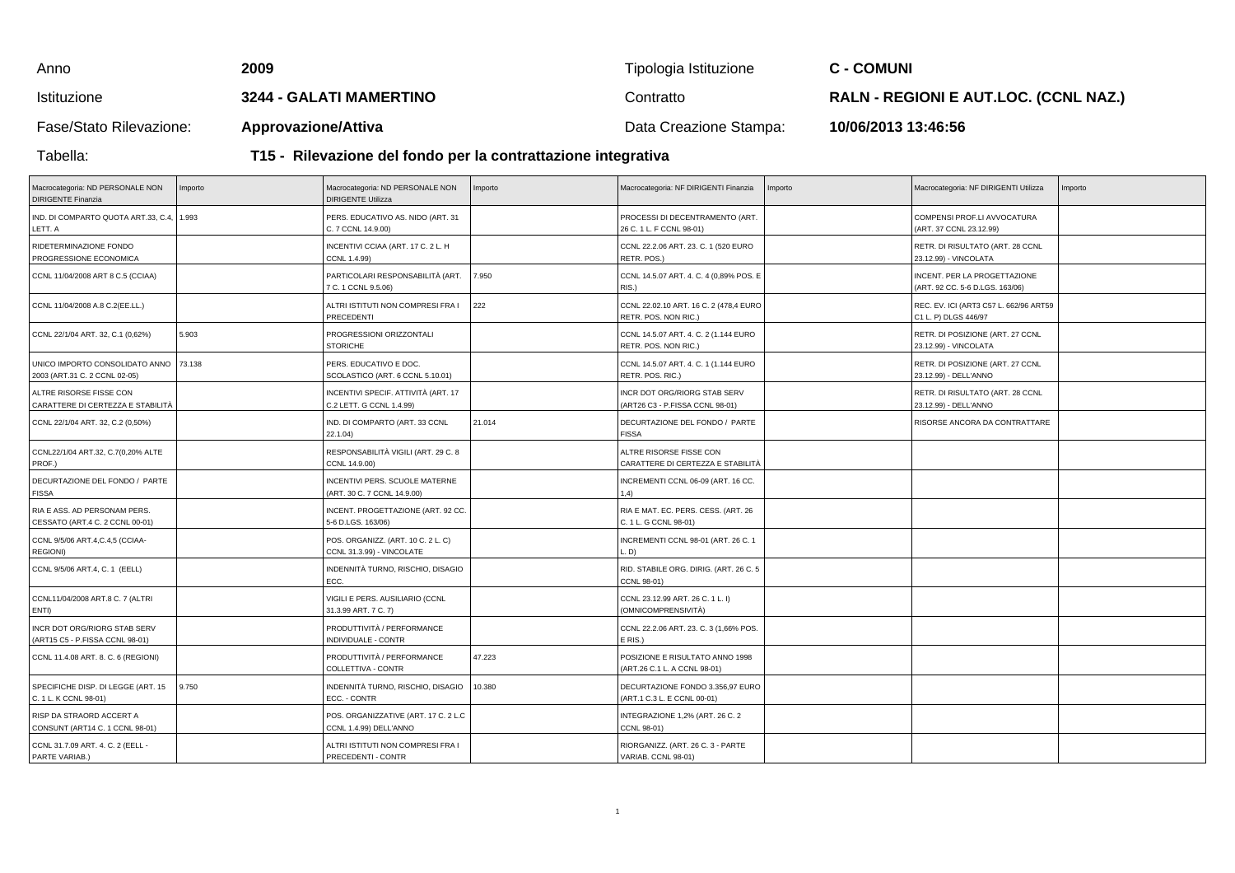| Anno                    | 2009                                                          | Tipologia Istituzione  | C - COMUNI                                   |  |  |  |
|-------------------------|---------------------------------------------------------------|------------------------|----------------------------------------------|--|--|--|
| Istituzione             | <b>3244 - GALATI MAMERTINO</b>                                | Contratto              | <b>RALN - REGIONI E AUT.LOC. (CCNL NAZ.)</b> |  |  |  |
| Fase/Stato Rilevazione: | <b>Approvazione/Attiva</b>                                    | Data Creazione Stampa: | 10/06/2013 13:46:56                          |  |  |  |
| Tabella:                | T15 - Rilevazione del fondo per la contrattazione integrativa |                        |                                              |  |  |  |

## **T15 - Rilevazione del fondo per la contrattazione integrativa**

| Macrocategoria: ND PERSONALE NON<br><b>DIRIGENTE Finanzia</b>   | Importo | Macrocategoria: ND PERSONALE NON<br><b>DIRIGENTE Utilizza</b>   | Importo | Macrocategoria: NF DIRIGENTI Finanzia                           | Importo | Macrocategoria: NF DIRIGENTI Utilizza                           | Importo |
|-----------------------------------------------------------------|---------|-----------------------------------------------------------------|---------|-----------------------------------------------------------------|---------|-----------------------------------------------------------------|---------|
| IND. DI COMPARTO QUOTA ART.33, C.4, 1.993<br>LETT. A            |         | PERS. EDUCATIVO AS. NIDO (ART. 31<br>C. 7 CCNL 14.9.00)         |         | PROCESSI DI DECENTRAMENTO (ART.<br>26 C. 1 L. F CCNL 98-01)     |         | COMPENSI PROF.LI AVVOCATURA<br>(ART. 37 CCNL 23.12.99)          |         |
| RIDETERMINAZIONE FONDO<br>PROGRESSIONE ECONOMICA                |         | INCENTIVI CCIAA (ART. 17 C. 2 L. H<br>CCNL 1.4.99)              |         | CCNL 22.2.06 ART. 23. C. 1 (520 EURO<br>RETR. POS.)             |         | RETR. DI RISULTATO (ART. 28 CCNL<br>23.12.99) - VINCOLATA       |         |
| CCNL 11/04/2008 ART 8 C.5 (CCIAA)                               |         | PARTICOLARI RESPONSABILITÀ (ART.<br>7 C. 1 CCNL 9.5.06)         | 7.950   | CCNL 14.5.07 ART. 4. C. 4 (0,89% POS. E<br>RIS.)                |         | INCENT. PER LA PROGETTAZIONE<br>(ART. 92 CC. 5-6 D.LGS. 163/06) |         |
| CCNL 11/04/2008 A.8 C.2(EE.LL.)                                 |         | ALTRI ISTITUTI NON COMPRESI FRA I<br>PRECEDENTI                 | 222     | CCNL 22.02.10 ART. 16 C. 2 (478,4 EURO<br>RETR. POS. NON RIC.)  |         | REC. EV. ICI (ART3 C57 L. 662/96 ART59<br>C1 L. P) DLGS 446/97  |         |
| CCNL 22/1/04 ART. 32, C.1 (0,62%)                               | 5.903   | PROGRESSIONI ORIZZONTALI<br><b>STORICHE</b>                     |         | CCNL 14.5.07 ART. 4. C. 2 (1.144 EURO<br>RETR. POS. NON RIC.)   |         | RETR. DI POSIZIONE (ART. 27 CCNL<br>23.12.99) - VINCOLATA       |         |
| UNICO IMPORTO CONSOLIDATO ANNO<br>2003 (ART.31 C. 2 CCNL 02-05) | 73.138  | PERS. EDUCATIVO E DOC.<br>SCOLASTICO (ART. 6 CCNL 5.10.01)      |         | CCNL 14.5.07 ART. 4. C. 1 (1.144 EURO<br>RETR. POS. RIC.)       |         | RETR. DI POSIZIONE (ART. 27 CCNL<br>23.12.99) - DELL'ANNO       |         |
| ALTRE RISORSE FISSE CON<br>CARATTERE DI CERTEZZA E STABILITÀ    |         | INCENTIVI SPECIF. ATTIVITÀ (ART. 17<br>C.2 LETT. G CCNL 1.4.99) |         | INCR DOT ORG/RIORG STAB SERV<br>(ART26 C3 - P.FISSA CCNL 98-01) |         | RETR. DI RISULTATO (ART. 28 CCNL<br>23.12.99) - DELL'ANNO       |         |
| CCNL 22/1/04 ART. 32, C.2 (0,50%)                               |         | IND. DI COMPARTO (ART. 33 CCNL<br>22.1.04)                      | 21.014  | DECURTAZIONE DEL FONDO / PARTE<br><b>FISSA</b>                  |         | RISORSE ANCORA DA CONTRATTARE                                   |         |
| CCNL22/1/04 ART.32, C.7(0,20% ALTE<br>PROF.)                    |         | RESPONSABILITÀ VIGILI (ART. 29 C. 8<br>CCNL 14.9.00)            |         | ALTRE RISORSE FISSE CON<br>CARATTERE DI CERTEZZA E STABILITÀ    |         |                                                                 |         |
| DECURTAZIONE DEL FONDO / PARTE<br><b>FISSA</b>                  |         | INCENTIVI PERS. SCUOLE MATERNE<br>(ART. 30 C. 7 CCNL 14.9.00)   |         | INCREMENTI CCNL 06-09 (ART. 16 CC.<br>(1,4)                     |         |                                                                 |         |
| RIA E ASS, AD PERSONAM PERS.<br>CESSATO (ART.4 C. 2 CCNL 00-01) |         | INCENT. PROGETTAZIONE (ART. 92 CC.<br>5-6 D.LGS. 163/06)        |         | RIA E MAT. EC. PERS. CESS. (ART. 26<br>C. 1 L. G CCNL 98-01)    |         |                                                                 |         |
| CCNL 9/5/06 ART.4, C.4, 5 (CCIAA-<br><b>REGIONI</b> )           |         | POS. ORGANIZZ. (ART. 10 C. 2 L. C)<br>CCNL 31.3.99) - VINCOLATE |         | INCREMENTI CCNL 98-01 (ART. 26 C. 1<br>D)                       |         |                                                                 |         |
| CCNL 9/5/06 ART.4, C. 1 (EELL)                                  |         | INDENNITÀ TURNO, RISCHIO, DISAGIO<br>ECC.                       |         | RID. STABILE ORG. DIRIG. (ART. 26 C. 5<br>CCNL 98-01)           |         |                                                                 |         |
| CCNL11/04/2008 ART.8 C. 7 (ALTRI<br>ENTI)                       |         | VIGILI E PERS. AUSILIARIO (CCNL<br>31.3.99 ART. 7 C. 7)         |         | CCNL 23.12.99 ART. 26 C. 1 L. I)<br>(OMNICOMPRENSIVITÀ)         |         |                                                                 |         |
| INCR DOT ORG/RIORG STAB SERV<br>(ART15 C5 - P.FISSA CCNL 98-01) |         | PRODUTTIVITÀ / PERFORMANCE<br>INDIVIDUALE - CONTR               |         | CCNL 22.2.06 ART. 23. C. 3 (1,66% POS.<br>E RIS.)               |         |                                                                 |         |
| CCNL 11.4.08 ART. 8. C. 6 (REGIONI)                             |         | PRODUTTIVITÀ / PERFORMANCE<br>COLLETTIVA - CONTR                | 47.223  | POSIZIONE E RISULTATO ANNO 1998<br>(ART.26 C.1 L. A CCNL 98-01) |         |                                                                 |         |
| SPECIFICHE DISP. DI LEGGE (ART. 15<br>C. 1 L. K CCNL 98-01)     | 9.750   | INDENNITÀ TURNO, RISCHIO, DISAGIO<br>ECC. - CONTR               | 10.380  | DECURTAZIONE FONDO 3.356,97 EURO<br>(ART.1 C.3 L. E CCNL 00-01) |         |                                                                 |         |
| RISP DA STRAORD ACCERT A<br>CONSUNT (ART14 C. 1 CCNL 98-01)     |         | POS. ORGANIZZATIVE (ART. 17 C. 2 L.C<br>CCNL 1.4.99) DELL'ANNO  |         | INTEGRAZIONE 1,2% (ART. 26 C. 2<br>CCNL 98-01)                  |         |                                                                 |         |
| CCNL 31.7.09 ART. 4. C. 2 (EELL -<br>PARTE VARIAB.)             |         | ALTRI ISTITUTI NON COMPRESI FRA I<br>PRECEDENTI - CONTR         |         | RIORGANIZZ. (ART. 26 C. 3 - PARTE<br>VARIAB. CCNL 98-01)        |         |                                                                 |         |